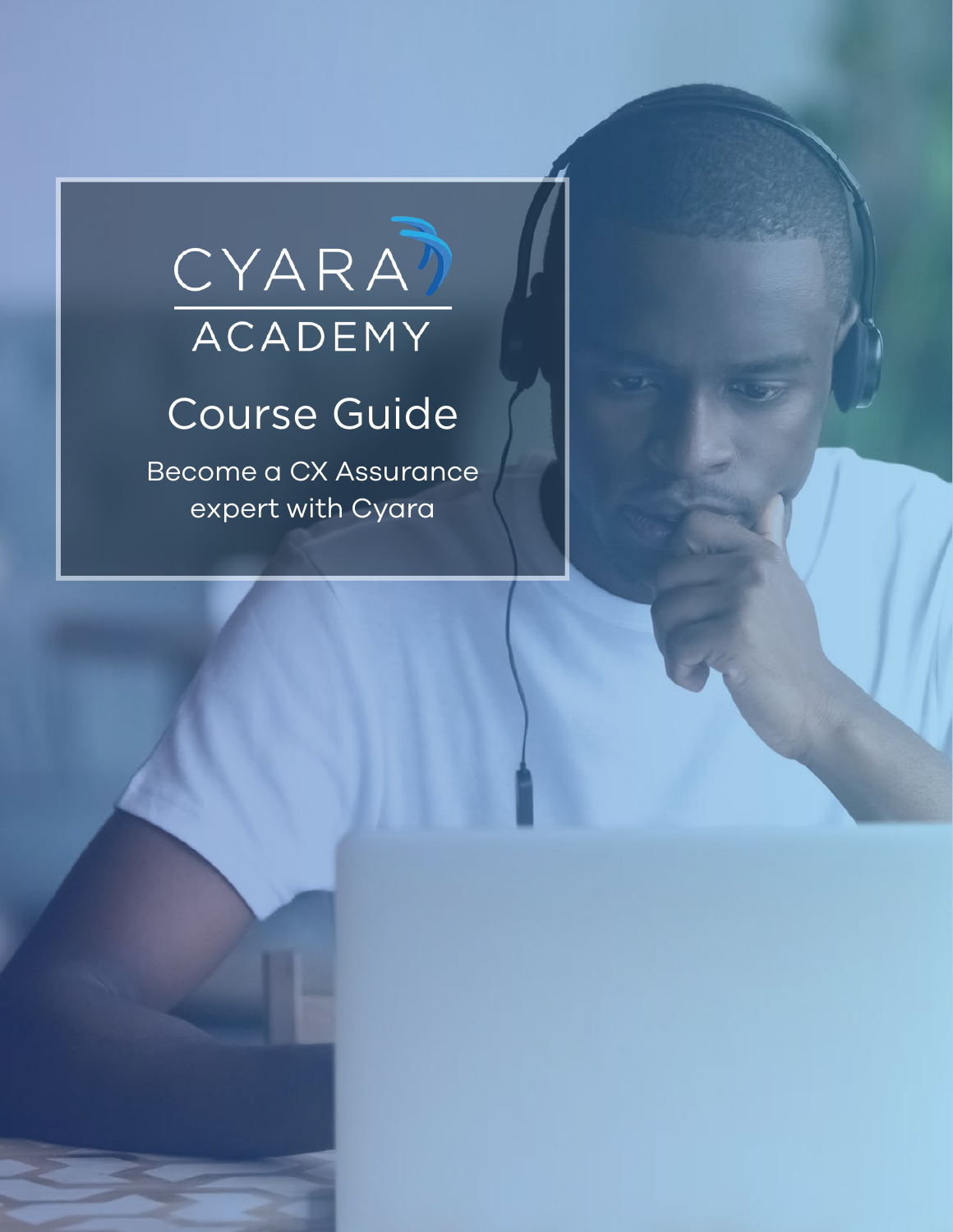# CYARA)

### Course Guide

Become a CX Assurance expert with Cyara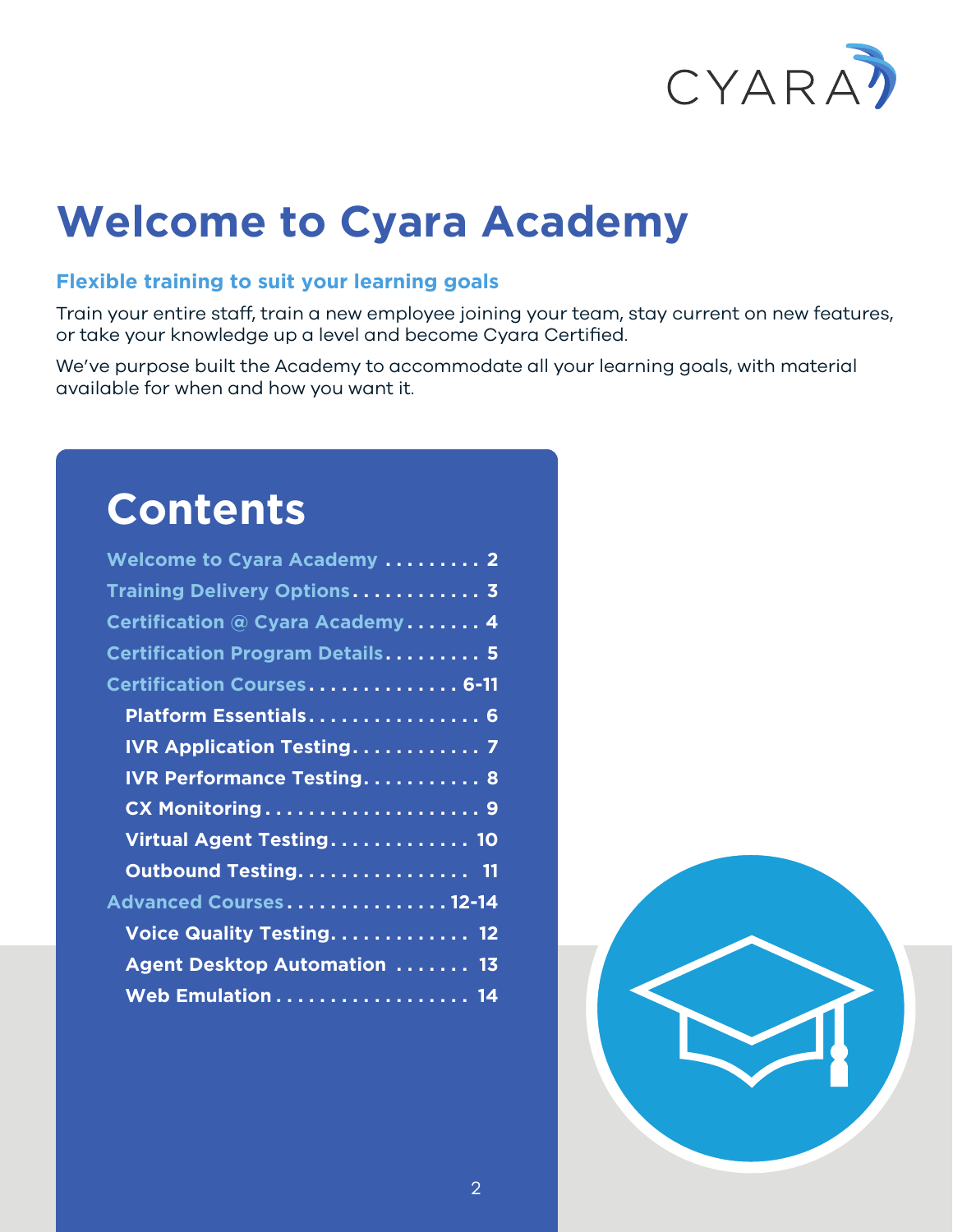

### **Welcome to Cyara Academy**

#### **Flexible training to suit your learning goals**

Train your entire staff, train a new employee joining your team, stay current on new features, or take your knowledge up a level and become Cyara Certified.

We've purpose built the Academy to accommodate all your learning goals, with material available for when and how you want it.

### **Contents**

| Welcome to Cyara Academy  2         |
|-------------------------------------|
| Training Delivery Options 3         |
| Certification @ Cyara Academy 4     |
| Certification Program Details 5     |
| Certification Courses 6-11          |
| Platform Essentials 6               |
| <b>IVR Application Testing 7</b>    |
| <b>IVR Performance Testing 8</b>    |
| CX Monitoring9                      |
| Virtual Agent Testing 10            |
| Outbound Testing 11                 |
| Advanced Courses12-14               |
|                                     |
| Voice Quality Testing 12            |
| <b>Agent Desktop Automation  13</b> |
| Web Emulation 14                    |

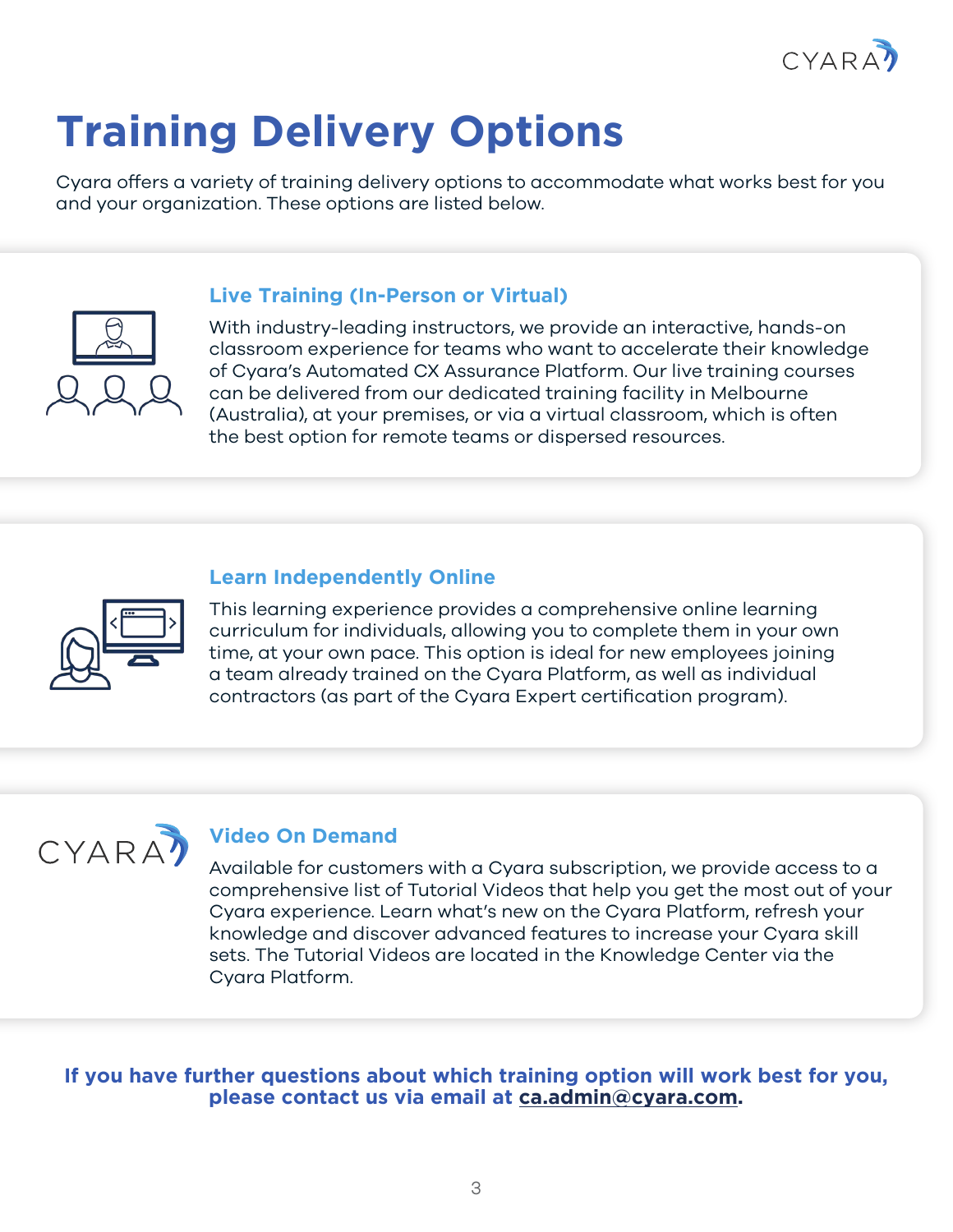

## <span id="page-2-0"></span>**Training Delivery Options**

Cyara offers a variety of training delivery options to accommodate what works best for you and your organization. These options are listed below.

#### **Live Training (In-Person or Virtual)**

With industry-leading instructors, we provide an interactive, hands-on classroom experience for teams who want to accelerate their knowledge of Cyara's Automated CX Assurance Platform. Our live training courses can be delivered from our dedicated training facility in Melbourne (Australia), at your premises, or via a virtual classroom, which is often the best option for remote teams or dispersed resources.

#### **Learn Independently Online**



This learning experience provides a comprehensive online learning curriculum for individuals, allowing you to complete them in your own time, at your own pace. This option is ideal for new employees joining a team already trained on the Cyara Platform, as well as individual contractors (as part of the Cyara Expert certification program).



#### **Video On Demand**

Available for customers with a Cyara subscription, we provide access to a comprehensive list of Tutorial Videos that help you get the most out of your Cyara experience. Learn what's new on the Cyara Platform, refresh your knowledge and discover advanced features to increase your Cyara skill sets. The Tutorial Videos are located in the Knowledge Center via the Cyara Platform.

**If you have further questions about which training option will work best for you, please contact us via email at [ca.admin@cyara.com](mailto:ca.admin%40cyara.com?subject=Cyara%20Course%20Guide).**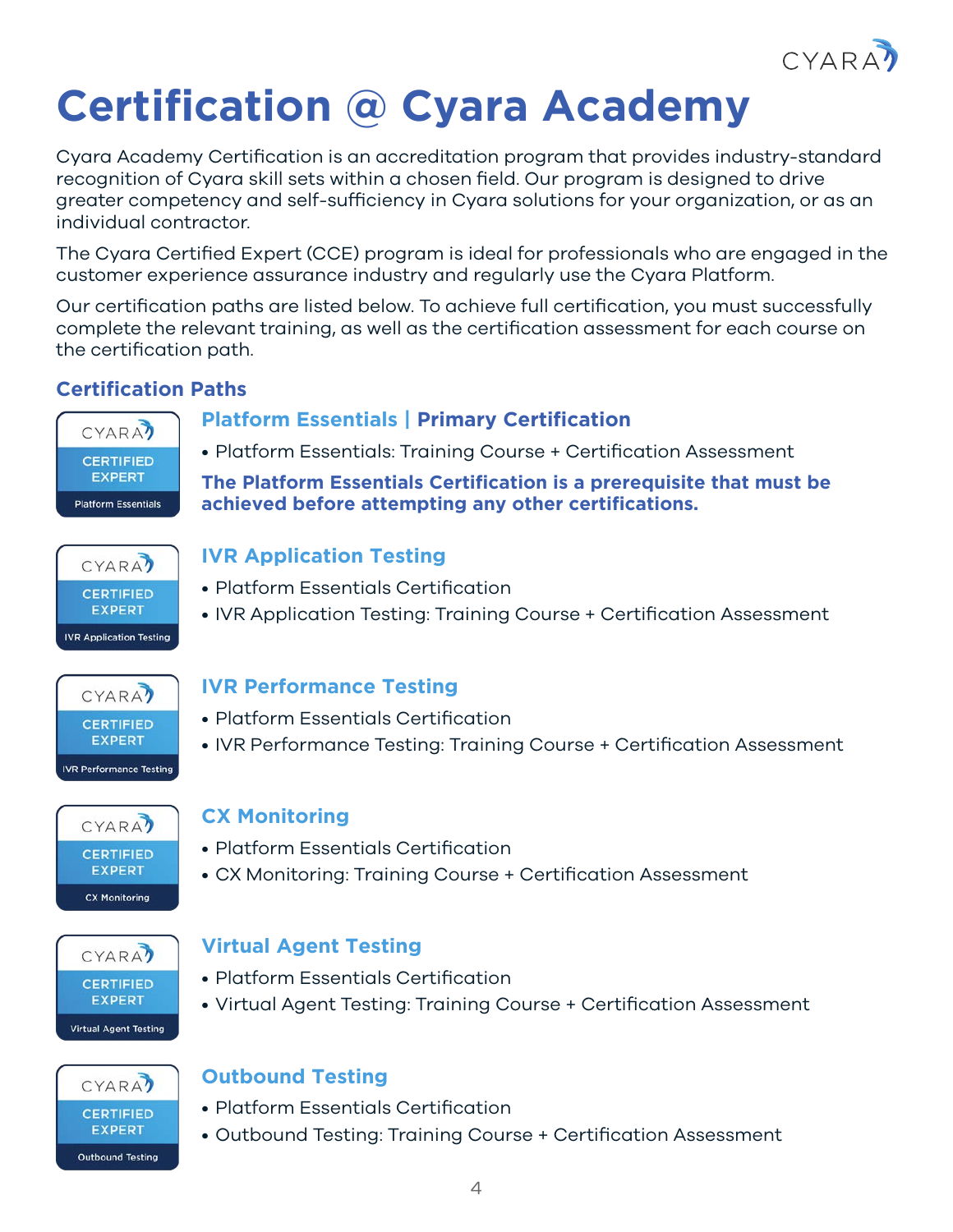

### <span id="page-3-0"></span>**Certification @ Cyara Academy**

Cyara Academy Certification is an accreditation program that provides industry-standard recognition of Cyara skill sets within a chosen field. Our program is designed to drive greater competency and self-sufficiency in Cyara solutions for your organization, or as an individual contractor.

The Cyara Certified Expert (CCE) program is ideal for professionals who are engaged in the customer experience assurance industry and regularly use the Cyara Platform.

Our certification paths are listed below. To achieve full certification, you must successfully complete the relevant training, as well as the certification assessment for each course on the certification path.

#### **Certification Paths**

#### **Platform Essentials | Primary Certification**



• Platform Essentials: Training Course + Certification Assessment

**The Platform Essentials Certification is a prerequisite that must be achieved before attempting any other certifications.**



#### **IVR Application Testing**

- Platform Essentials Certification
- IVR Application Testing: Training Course + Certification Assessment



#### **IVR Performance Testing**

- Platform Essentials Certification
- IVR Performance Testing: Training Course + Certification Assessment



#### **CX Monitoring**

- Platform Essentials Certification
- CX Monitoring: Training Course + Certification Assessment



#### **Virtual Agent Testing**

- Platform Essentials Certification
- Virtual Agent Testing: Training Course + Certification Assessment

#### **CYARA7 CERTIFIED EXPERT Outbound Testing**

#### **Outbound Testing**

- Platform Essentials Certification
- Outbound Testing: Training Course + Certification Assessment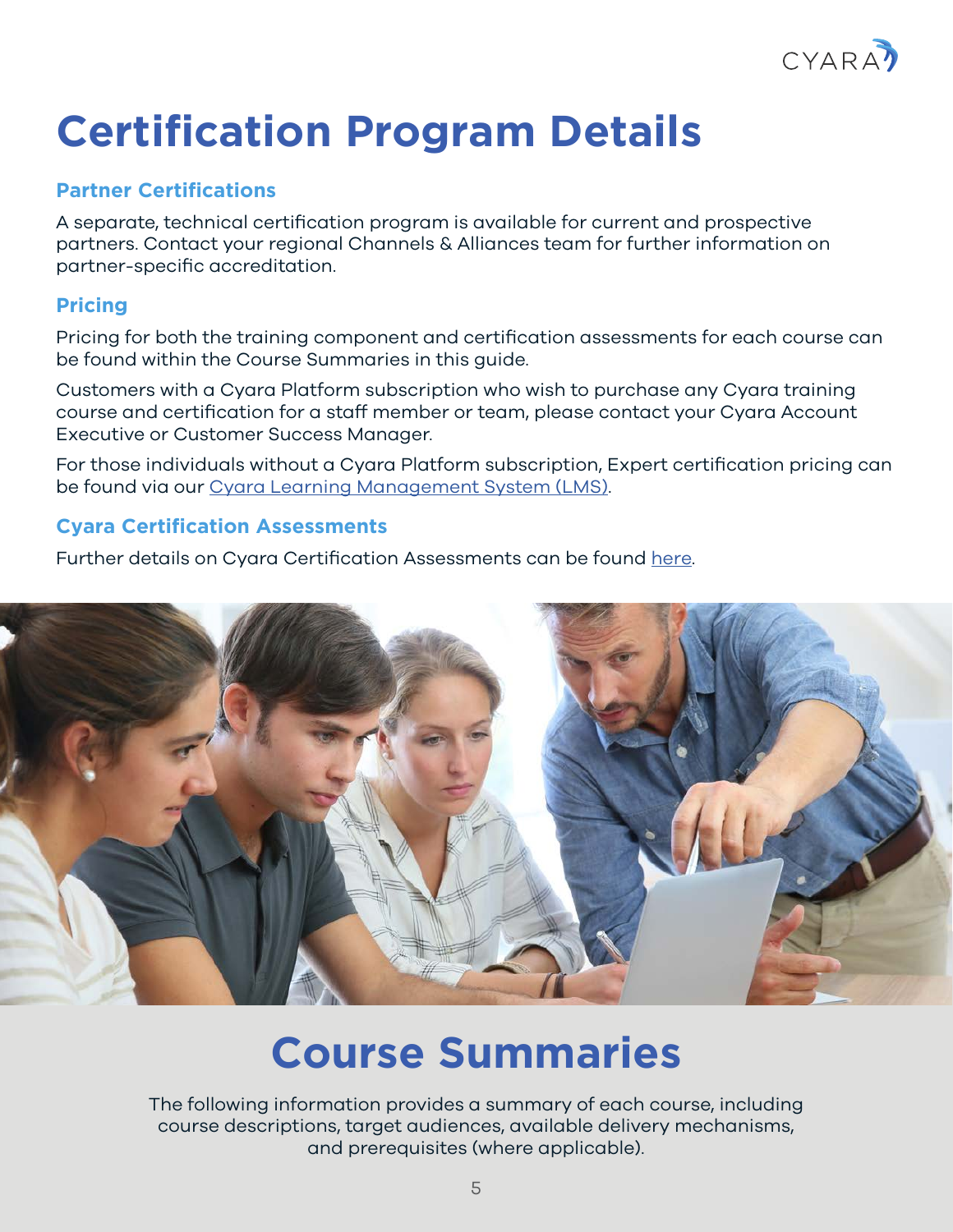

### <span id="page-4-0"></span>**Certification Program Details**

#### **Partner Certifications**

A separate, technical certification program is available for current and prospective partners. Contact your regional Channels & Alliances team for further information on partner-specific accreditation.

#### **Pricing**

Pricing for both the training component and certification assessments for each course can be found within the Course Summaries in this guide.

Customers with a Cyara Platform subscription who wish to purchase any Cyara training course and certification for a staff member or team, please contact your Cyara Account Executive or Customer Success Manager.

For those individuals without a Cyara Platform subscription, Expert certification pricing can be found via our [Cyara Learning Management System \(LMS\).](https://lms.cyara.com/)

#### **Cyara Certification Assessments**

Further details on Cyara Certification Assessments can be found [here.](https://cyara.com/training/#certification)



### **Course Summaries**

The following information provides a summary of each course, including course descriptions, target audiences, available delivery mechanisms, and prerequisites (where applicable).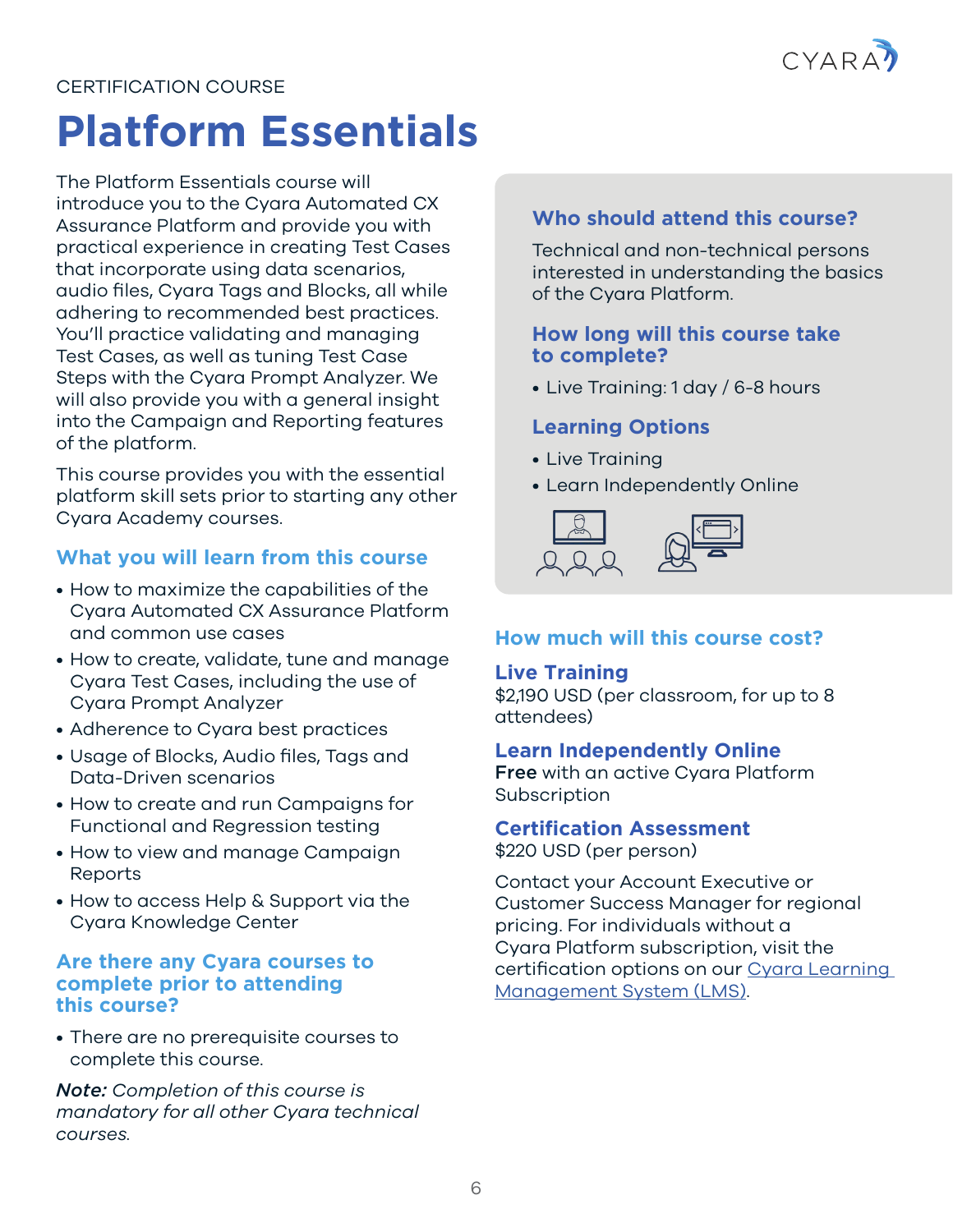

### <span id="page-5-0"></span>**Platform Essentials**

The Platform Essentials course will introduce you to the Cyara Automated CX Assurance Platform and provide you with practical experience in creating Test Cases that incorporate using data scenarios, audio files, Cyara Tags and Blocks, all while adhering to recommended best practices. You'll practice validating and managing Test Cases, as well as tuning Test Case Steps with the Cyara Prompt Analyzer. We will also provide you with a general insight into the Campaign and Reporting features of the platform.

This course provides you with the essential platform skill sets prior to starting any other Cyara Academy courses.

#### **What you will learn from this course**

- How to maximize the capabilities of the Cyara Automated CX Assurance Platform and common use cases
- How to create, validate, tune and manage Cyara Test Cases, including the use of Cyara Prompt Analyzer
- Adherence to Cyara best practices
- Usage of Blocks, Audio files, Tags and Data-Driven scenarios
- How to create and run Campaigns for Functional and Regression testing
- How to view and manage Campaign Reports
- How to access Help & Support via the Cyara Knowledge Center

#### **Are there any Cyara courses to complete prior to attending this course?**

• There are no prerequisite courses to complete this course.

*Note: Completion of this course is mandatory for all other Cyara technical courses.*

#### **Who should attend this course?**

Technical and non-technical persons interested in understanding the basics of the Cyara Platform.

#### **How long will this course take to complete?**

• Live Training: 1 day / 6-8 hours

#### **Learning Options**

- Live Training
- Learn Independently Online



#### **How much will this course cost?**

#### **Live Training**

\$2,190 USD (per classroom, for up to 8 attendees)

#### **Learn Independently Online**

Free with an active Cyara Platform Subscription

#### **Certification Assessment**

\$220 USD (per person)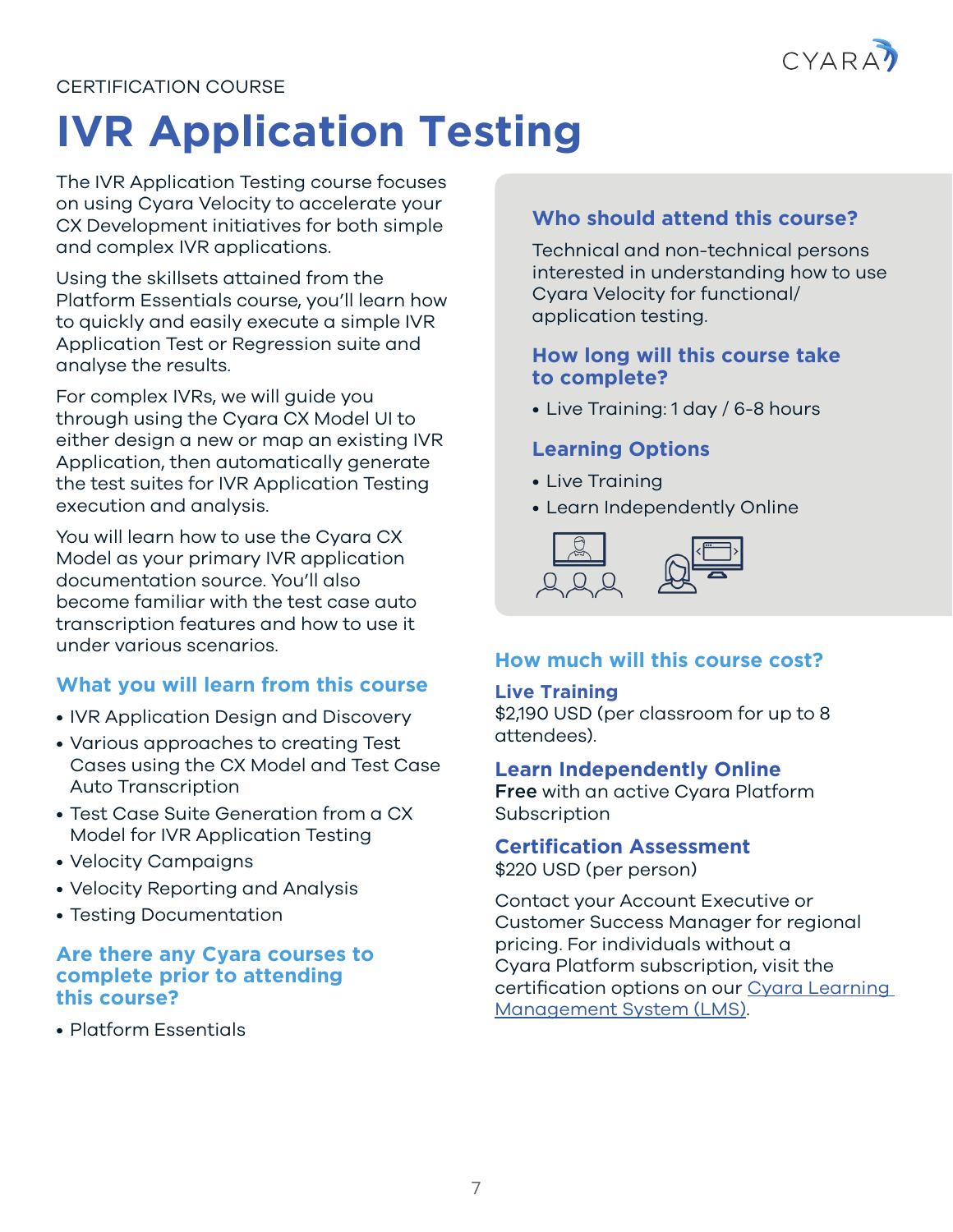

## <span id="page-6-0"></span>**IVR Application Testing**

The IVR Application Testing course focuses on using Cyara Velocity to accelerate your CX Development initiatives for both simple and complex IVR applications.

Using the skillsets attained from the Platform Essentials course, you'll learn how to quickly and easily execute a simple IVR Application Test or Regression suite and analyse the results.

For complex IVRs, we will guide you through using the Cyara CX Model UI to either design a new or map an existing IVR Application, then automatically generate the test suites for IVR Application Testing execution and analysis.

You will learn how to use the Cyara CX Model as your primary IVR application documentation source. You'll also become familiar with the test case auto transcription features and how to use it under various scenarios.

#### **What you will learn from this course**

- IVR Application Design and Discovery
- Various approaches to creating Test Cases using the CX Model and Test Case Auto Transcription
- Test Case Suite Generation from a CX Model for IVR Application Testing
- Velocity Campaigns
- Velocity Reporting and Analysis
- Testing Documentation

#### **Are there any Cyara courses to complete prior to attending this course?**

• Platform Essentials

#### **Who should attend this course?**

Technical and non-technical persons interested in understanding how to use Cyara Velocity for functional/ application testing.

#### **How long will this course take to complete?**

• Live Training: 1 day / 6-8 hours

#### **Learning Options**

- Live Training
- Learn Independently Online



#### **How much will this course cost?**

#### **Live Training**

\$2,190 USD (per classroom for up to 8 attendees).

#### **Learn Independently Online**

Free with an active Cyara Platform Subscription

#### **Certification Assessment**

\$220 USD (per person)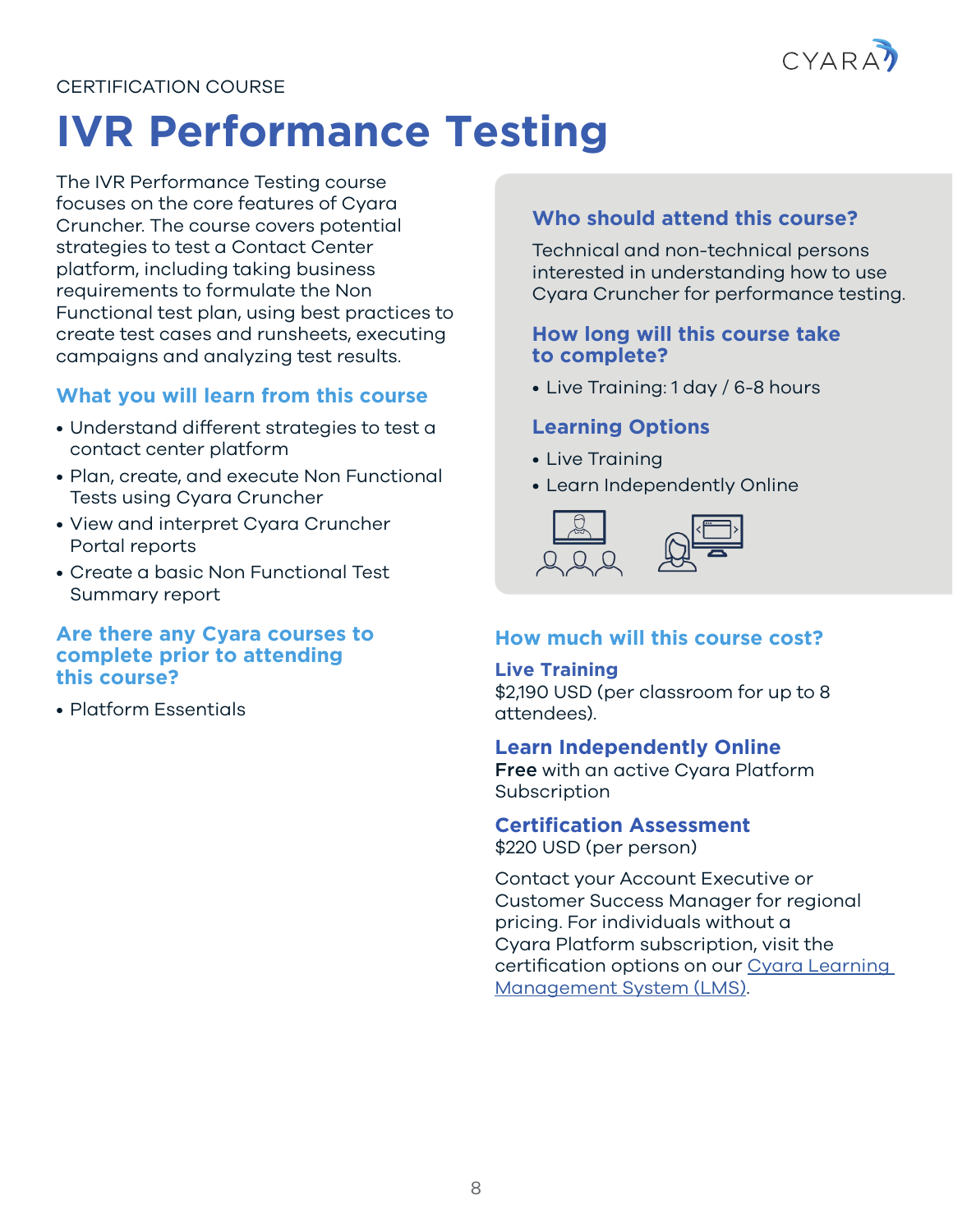

### <span id="page-7-0"></span>**IVR Performance Testing**

The IVR Performance Testing course focuses on the core features of Cyara Cruncher. The course covers potential strategies to test a Contact Center platform, including taking business requirements to formulate the Non Functional test plan, using best practices to create test cases and runsheets, executing campaigns and analyzing test results.

#### **What you will learn from this course**

- Understand different strategies to test a contact center platform
- Plan, create, and execute Non Functional Tests using Cyara Cruncher
- View and interpret Cyara Cruncher Portal reports
- Create a basic Non Functional Test Summary report

#### **Are there any Cyara courses to complete prior to attending this course?**

• Platform Essentials

#### **Who should attend this course?**

Technical and non-technical persons interested in understanding how to use Cyara Cruncher for performance testing.

#### **How long will this course take to complete?**

• Live Training: 1 day / 6-8 hours

#### **Learning Options**

- Live Training
- Learn Independently Online



#### **How much will this course cost?**

#### **Live Training**

\$2,190 USD (per classroom for up to 8 attendees).

#### **Learn Independently Online**

Free with an active Cyara Platform **Subscription** 

#### **Certification Assessment**

\$220 USD (per person)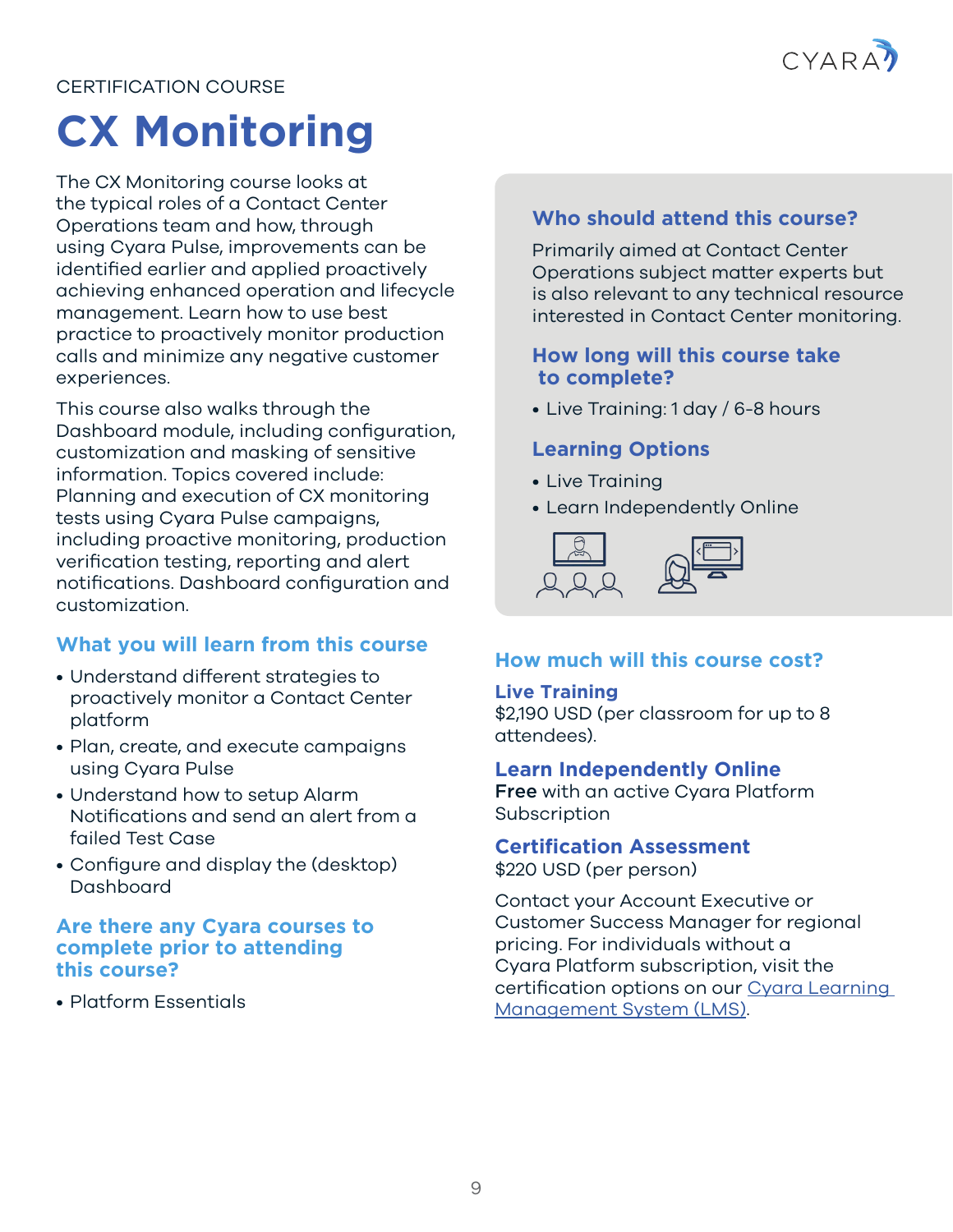

### <span id="page-8-0"></span>**CX Monitoring**

The CX Monitoring course looks at the typical roles of a Contact Center Operations team and how, through using Cyara Pulse, improvements can be identified earlier and applied proactively achieving enhanced operation and lifecycle management. Learn how to use best practice to proactively monitor production calls and minimize any negative customer experiences.

This course also walks through the Dashboard module, including configuration, customization and masking of sensitive information. Topics covered include: Planning and execution of CX monitoring tests using Cyara Pulse campaigns, including proactive monitoring, production verification testing, reporting and alert notifications. Dashboard configuration and customization.

#### **What you will learn from this course**

- Understand different strategies to proactively monitor a Contact Center platform
- Plan, create, and execute campaigns using Cyara Pulse
- Understand how to setup Alarm Notifications and send an alert from a failed Test Case
- Configure and display the (desktop) Dashboard

#### **Are there any Cyara courses to complete prior to attending this course?**

• Platform Essentials

#### **Who should attend this course?**

Primarily aimed at Contact Center Operations subject matter experts but is also relevant to any technical resource interested in Contact Center monitoring.

#### **How long will this course take to complete?**

• Live Training: 1 day / 6-8 hours

#### **Learning Options**

- Live Training
- Learn Independently Online



#### **How much will this course cost?**

#### **Live Training**

\$2,190 USD (per classroom for up to 8 attendees).

#### **Learn Independently Online**

Free with an active Cyara Platform Subscription

#### **Certification Assessment**

\$220 USD (per person)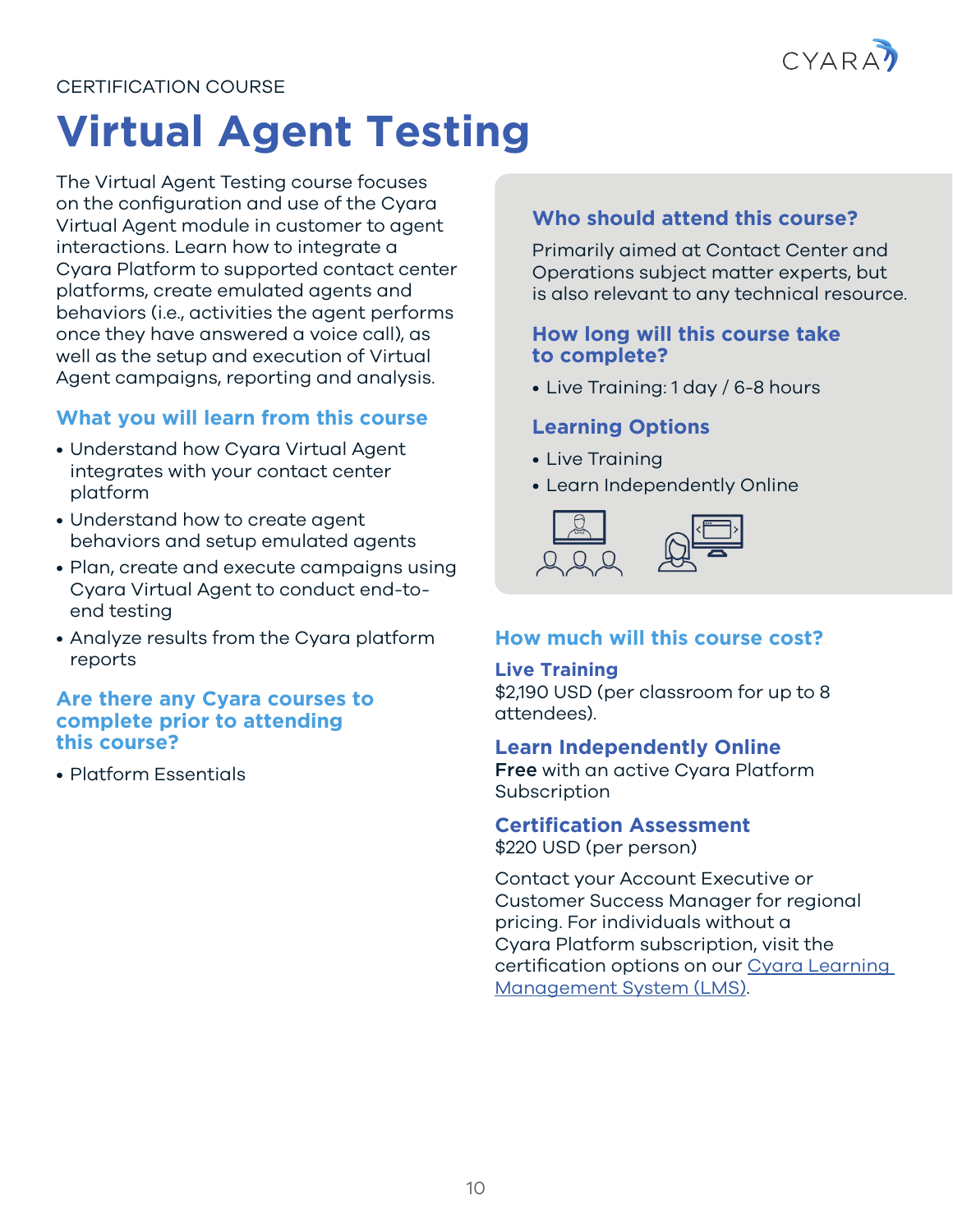

### <span id="page-9-0"></span>**Virtual Agent Testing**

The Virtual Agent Testing course focuses on the configuration and use of the Cyara Virtual Agent module in customer to agent interactions. Learn how to integrate a Cyara Platform to supported contact center platforms, create emulated agents and behaviors (i.e., activities the agent performs once they have answered a voice call), as well as the setup and execution of Virtual Agent campaigns, reporting and analysis.

#### **What you will learn from this course**

- Understand how Cyara Virtual Agent integrates with your contact center platform
- Understand how to create agent behaviors and setup emulated agents
- Plan, create and execute campaigns using Cyara Virtual Agent to conduct end-toend testing
- Analyze results from the Cyara platform reports

#### **Are there any Cyara courses to complete prior to attending this course?**

• Platform Essentials

#### **Who should attend this course?**

Primarily aimed at Contact Center and Operations subject matter experts, but is also relevant to any technical resource.

#### **How long will this course take to complete?**

• Live Training: 1 day / 6-8 hours

#### **Learning Options**

- Live Training
- Learn Independently Online



#### **How much will this course cost?**

#### **Live Training**

\$2,190 USD (per classroom for up to 8 attendees).

#### **Learn Independently Online**

Free with an active Cyara Platform **Subscription** 

### **Certification Assessment**

\$220 USD (per person)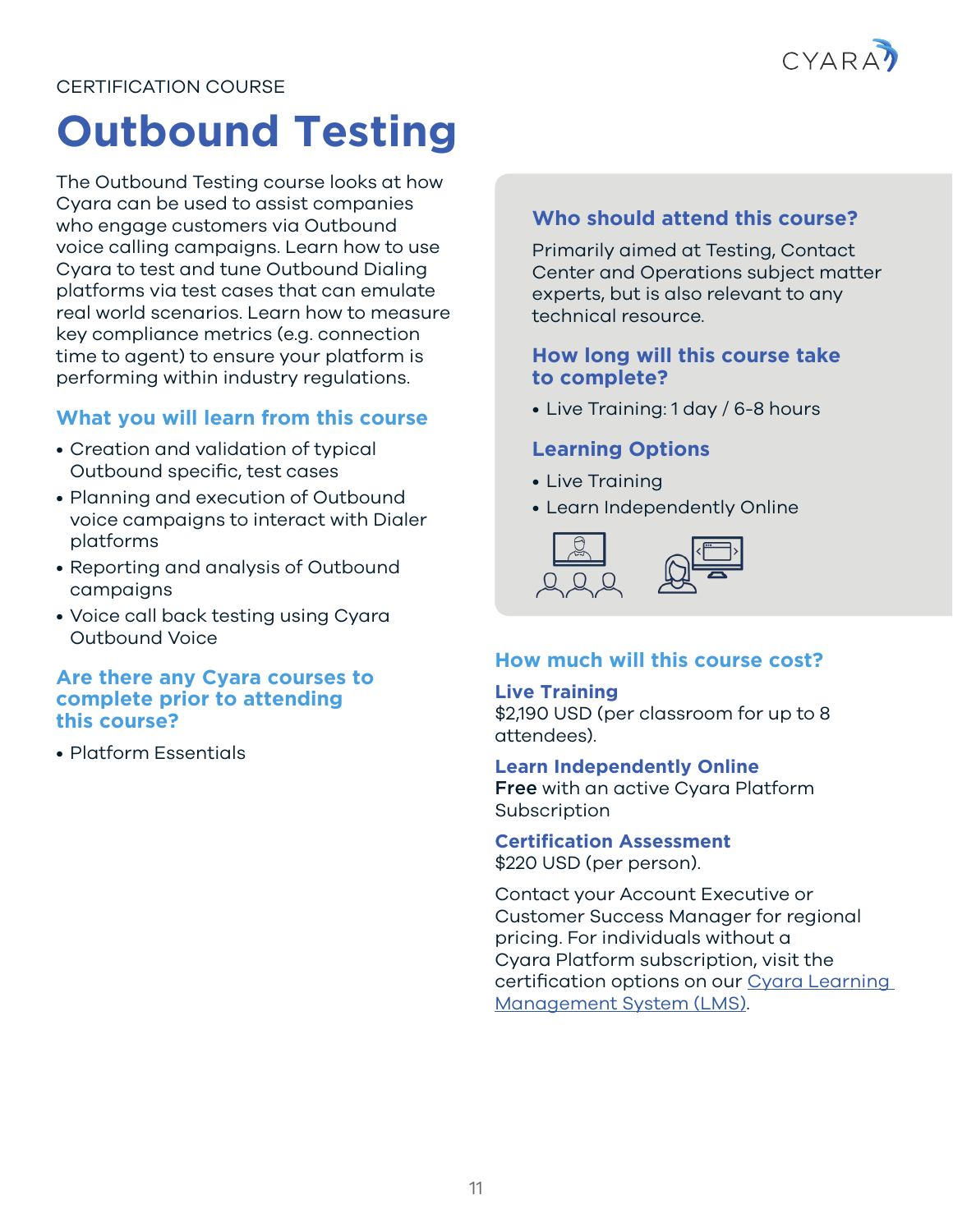

### <span id="page-10-0"></span>**Outbound Testing**

The Outbound Testing course looks at how Cyara can be used to assist companies who engage customers via Outbound voice calling campaigns. Learn how to use Cyara to test and tune Outbound Dialing platforms via test cases that can emulate real world scenarios. Learn how to measure key compliance metrics (e.g. connection time to agent) to ensure your platform is performing within industry regulations.

#### **What you will learn from this course**

- Creation and validation of typical Outbound specific, test cases
- Planning and execution of Outbound voice campaigns to interact with Dialer platforms
- Reporting and analysis of Outbound campaigns
- Voice call back testing using Cyara Outbound Voice

#### **Are there any Cyara courses to complete prior to attending this course?**

• Platform Essentials

#### **Who should attend this course?**

Primarily aimed at Testing, Contact Center and Operations subject matter experts, but is also relevant to any technical resource.

#### **How long will this course take to complete?**

• Live Training: 1 day / 6-8 hours

#### **Learning Options**

- Live Training
- Learn Independently Online



#### **How much will this course cost?**

#### **Live Training**

\$2,190 USD (per classroom for up to 8 attendees).

#### **Learn Independently Online**

Free with an active Cyara Platform **Subscription** 

**Certification Assessment**

\$220 USD (per person).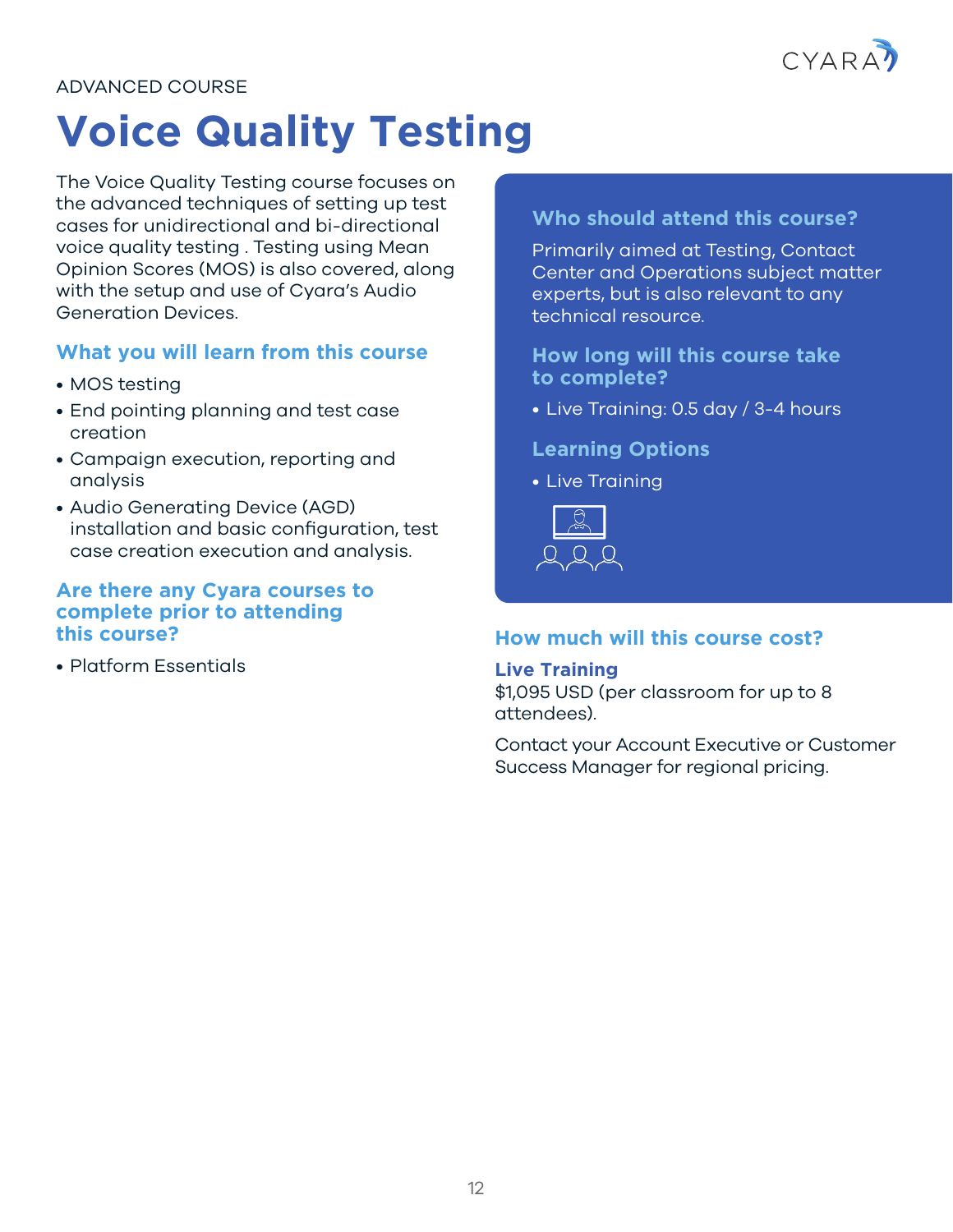

#### <span id="page-11-0"></span>ADVANCED COURSE

### **Voice Quality Testing**

The Voice Quality Testing course focuses on the advanced techniques of setting up test cases for unidirectional and bi-directional voice quality testing . Testing using Mean Opinion Scores (MOS) is also covered, along with the setup and use of Cyara's Audio Generation Devices.

#### **What you will learn from this course**

- MOS testing
- End pointing planning and test case creation
- Campaign execution, reporting and analysis
- Audio Generating Device (AGD) installation and basic configuration, test case creation execution and analysis.

#### **Are there any Cyara courses to complete prior to attending this course?**

• Platform Essentials

#### **Who should attend this course?**

Primarily aimed at Testing, Contact Center and Operations subject matter experts, but is also relevant to any technical resource.

**How long will this course take to complete?** 

• Live Training: 0.5 day / 3-4 hours

#### **Learning Options**

• Live Training



#### **How much will this course cost?**

#### **Live Training**

\$1,095 USD (per classroom for up to 8 attendees).

Contact your Account Executive or Customer Success Manager for regional pricing.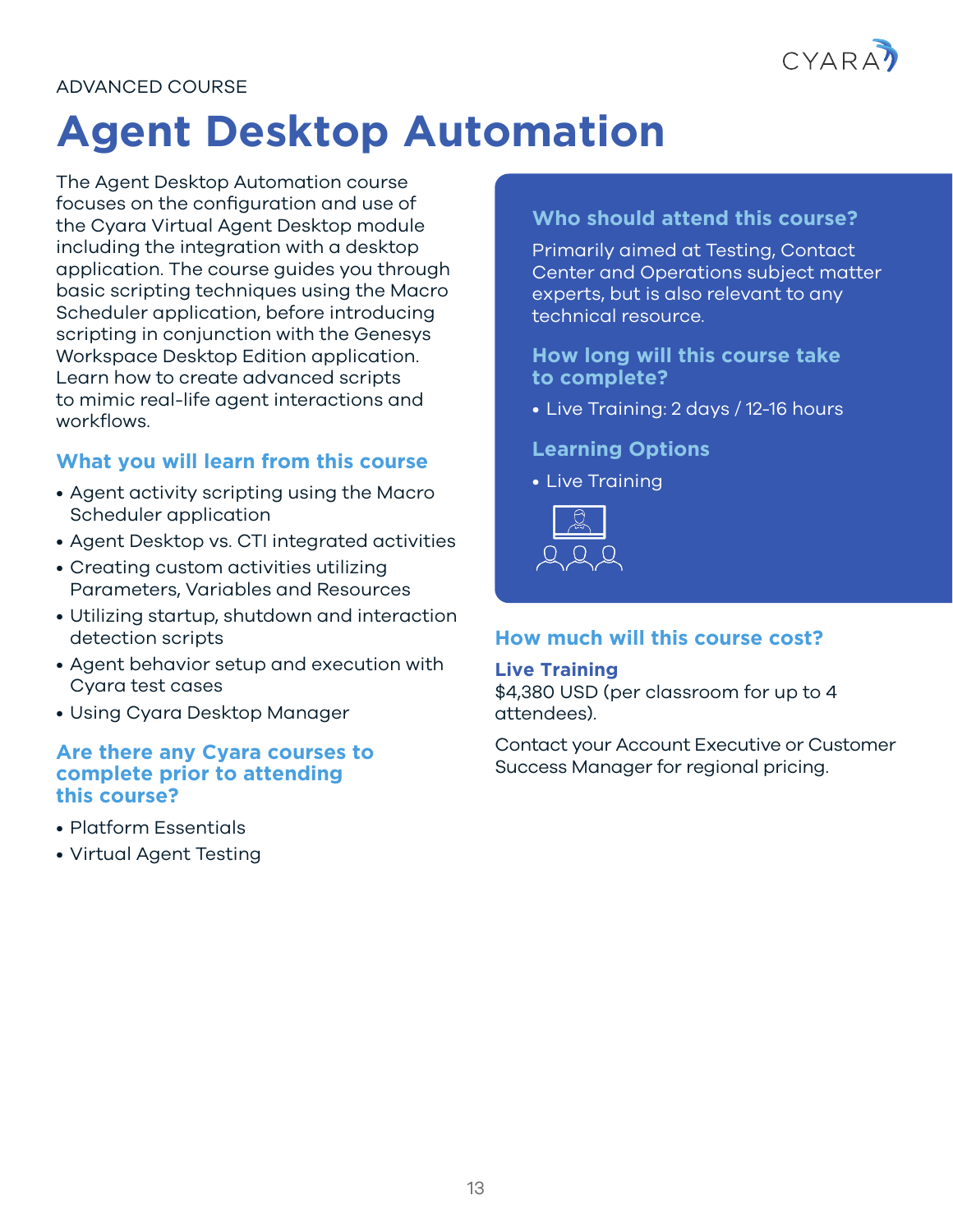

#### <span id="page-12-0"></span>ADVANCED COURSE

### **Agent Desktop Automation**

The Agent Desktop Automation course focuses on the configuration and use of the Cyara Virtual Agent Desktop module including the integration with a desktop application. The course guides you through basic scripting techniques using the Macro Scheduler application, before introducing scripting in conjunction with the Genesys Workspace Desktop Edition application. Learn how to create advanced scripts to mimic real-life agent interactions and workflows.

#### **What you will learn from this course**

- Agent activity scripting using the Macro Scheduler application
- Agent Desktop vs. CTI integrated activities
- Creating custom activities utilizing Parameters, Variables and Resources
- Utilizing startup, shutdown and interaction detection scripts
- Agent behavior setup and execution with Cyara test cases
- Using Cyara Desktop Manager

#### **Are there any Cyara courses to complete prior to attending this course?**

- Platform Essentials
- Virtual Agent Testing

#### **Who should attend this course?**

Primarily aimed at Testing, Contact Center and Operations subject matter experts, but is also relevant to any technical resource.

**How long will this course take to complete?** 

• Live Training: 2 days / 12-16 hours

#### **Learning Options**

• Live Training



#### **How much will this course cost?**

#### **Live Training**

\$4,380 USD (per classroom for up to 4 attendees).

Contact your Account Executive or Customer Success Manager for regional pricing.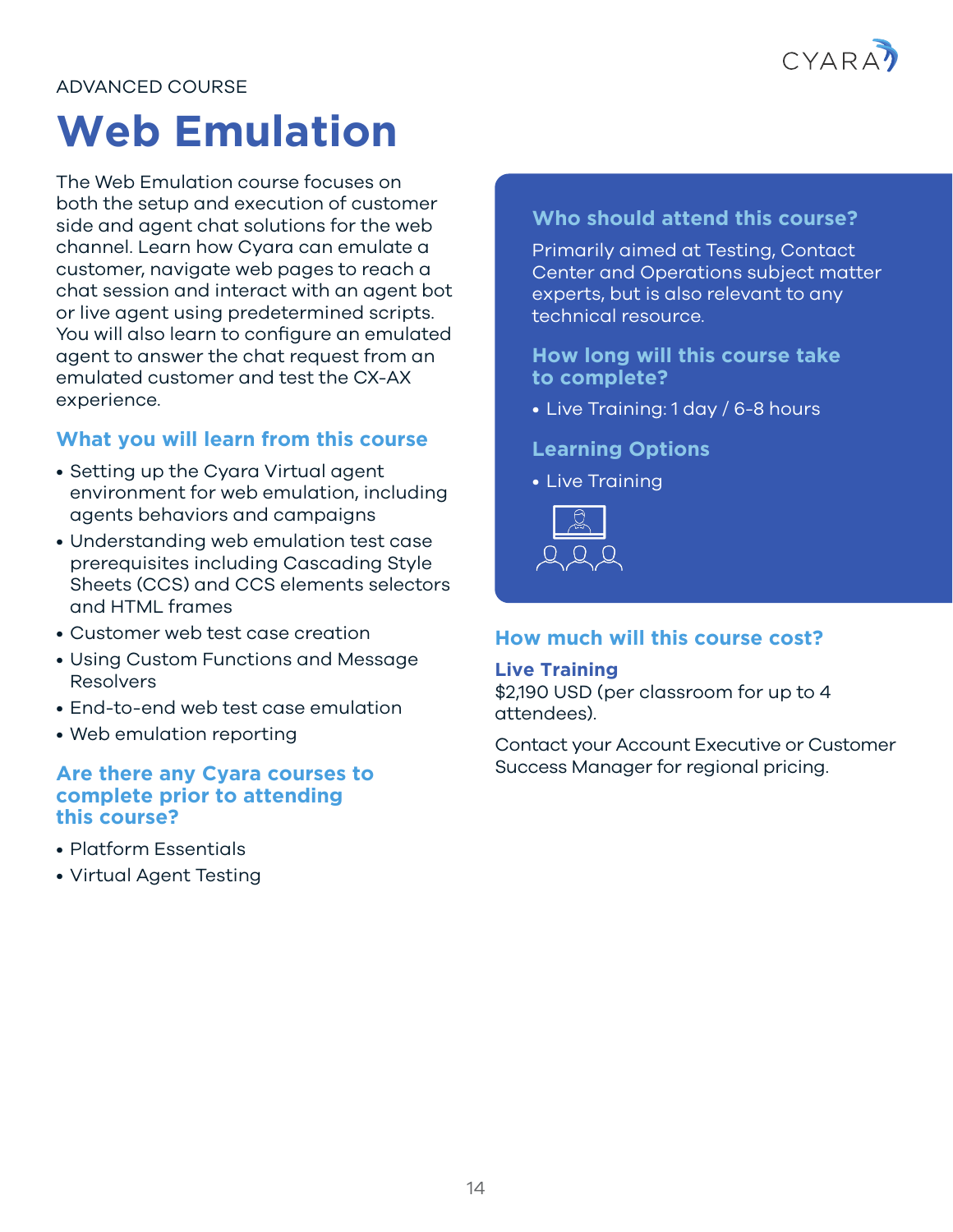

#### <span id="page-13-0"></span>ADVANCED COURSE

### **Web Emulation**

The Web Emulation course focuses on both the setup and execution of customer side and agent chat solutions for the web channel. Learn how Cyara can emulate a customer, navigate web pages to reach a chat session and interact with an agent bot or live agent using predetermined scripts. You will also learn to configure an emulated agent to answer the chat request from an emulated customer and test the CX-AX experience.

#### **What you will learn from this course**

- Setting up the Cyara Virtual agent environment for web emulation, including agents behaviors and campaigns
- Understanding web emulation test case prerequisites including Cascading Style Sheets (CCS) and CCS elements selectors and HTML frames
- Customer web test case creation
- Using Custom Functions and Message Resolvers
- End-to-end web test case emulation
- Web emulation reporting

#### **Are there any Cyara courses to complete prior to attending this course?**

- Platform Essentials
- Virtual Agent Testing

#### **Who should attend this course?**

Primarily aimed at Testing, Contact Center and Operations subject matter experts, but is also relevant to any technical resource.

**How long will this course take to complete?** 

• Live Training: 1 day / 6-8 hours

#### **Learning Options**

• Live Training



#### **How much will this course cost?**

#### **Live Training**

\$2,190 USD (per classroom for up to 4 attendees).

Contact your Account Executive or Customer Success Manager for regional pricing.